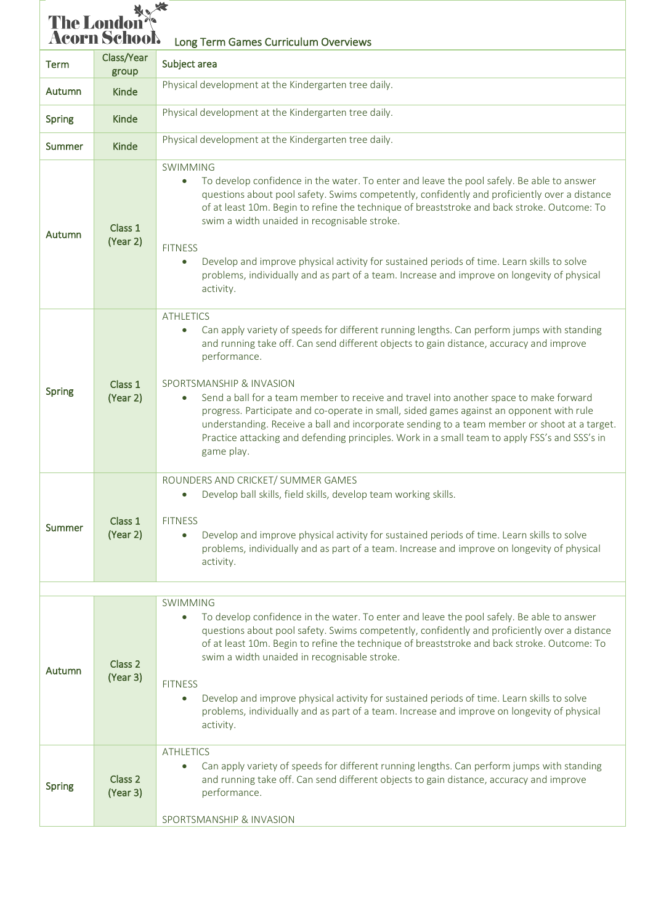| <b>The London<sup>s</sup><br/>Acorn School</b><br>Long Term Games Curriculum Overviews |                                |                                                                                                                                                                                                                                                                                                                                                                                                                                                                                                                                                                                                                                                                         |  |  |  |
|----------------------------------------------------------------------------------------|--------------------------------|-------------------------------------------------------------------------------------------------------------------------------------------------------------------------------------------------------------------------------------------------------------------------------------------------------------------------------------------------------------------------------------------------------------------------------------------------------------------------------------------------------------------------------------------------------------------------------------------------------------------------------------------------------------------------|--|--|--|
| Term                                                                                   | Class/Year<br>group            | Subject area                                                                                                                                                                                                                                                                                                                                                                                                                                                                                                                                                                                                                                                            |  |  |  |
| Autumn                                                                                 | Kinde                          | Physical development at the Kindergarten tree daily.                                                                                                                                                                                                                                                                                                                                                                                                                                                                                                                                                                                                                    |  |  |  |
| Spring                                                                                 | <b>Kinde</b>                   | Physical development at the Kindergarten tree daily.                                                                                                                                                                                                                                                                                                                                                                                                                                                                                                                                                                                                                    |  |  |  |
| Summer                                                                                 | <b>Kinde</b>                   | Physical development at the Kindergarten tree daily.                                                                                                                                                                                                                                                                                                                                                                                                                                                                                                                                                                                                                    |  |  |  |
| Autumn                                                                                 | Class 1<br>(Year 2)            | <b>SWIMMING</b><br>To develop confidence in the water. To enter and leave the pool safely. Be able to answer<br>$\bullet$<br>questions about pool safety. Swims competently, confidently and proficiently over a distance<br>of at least 10m. Begin to refine the technique of breaststroke and back stroke. Outcome: To<br>swim a width unaided in recognisable stroke.<br><b>FITNESS</b><br>Develop and improve physical activity for sustained periods of time. Learn skills to solve<br>$\bullet$<br>problems, individually and as part of a team. Increase and improve on longevity of physical<br>activity.                                                       |  |  |  |
| Spring                                                                                 | Class 1<br>(Year 2)            | <b>ATHLETICS</b><br>Can apply variety of speeds for different running lengths. Can perform jumps with standing<br>$\bullet$<br>and running take off. Can send different objects to gain distance, accuracy and improve<br>performance.<br>SPORTSMANSHIP & INVASION<br>Send a ball for a team member to receive and travel into another space to make forward<br>progress. Participate and co-operate in small, sided games against an opponent with rule<br>understanding. Receive a ball and incorporate sending to a team member or shoot at a target.<br>Practice attacking and defending principles. Work in a small team to apply FSS's and SSS's in<br>game play. |  |  |  |
| Summer                                                                                 | Class 1<br>(Year 2)            | ROUNDERS AND CRICKET/ SUMMER GAMES<br>Develop ball skills, field skills, develop team working skills.<br><b>FITNESS</b><br>Develop and improve physical activity for sustained periods of time. Learn skills to solve<br>$\bullet$<br>problems, individually and as part of a team. Increase and improve on longevity of physical<br>activity.                                                                                                                                                                                                                                                                                                                          |  |  |  |
|                                                                                        |                                | <b>SWIMMING</b>                                                                                                                                                                                                                                                                                                                                                                                                                                                                                                                                                                                                                                                         |  |  |  |
| Autumn                                                                                 | Class 2<br>(Year 3)            | To develop confidence in the water. To enter and leave the pool safely. Be able to answer<br>$\bullet$<br>questions about pool safety. Swims competently, confidently and proficiently over a distance<br>of at least 10m. Begin to refine the technique of breaststroke and back stroke. Outcome: To<br>swim a width unaided in recognisable stroke.<br><b>FITNESS</b><br>Develop and improve physical activity for sustained periods of time. Learn skills to solve<br>$\bullet$<br>problems, individually and as part of a team. Increase and improve on longevity of physical<br>activity.                                                                          |  |  |  |
| <b>Spring</b>                                                                          | Class <sub>2</sub><br>(Year 3) | <b>ATHLETICS</b><br>Can apply variety of speeds for different running lengths. Can perform jumps with standing<br>$\bullet$<br>and running take off. Can send different objects to gain distance, accuracy and improve<br>performance.<br>SPORTSMANSHIP & INVASION                                                                                                                                                                                                                                                                                                                                                                                                      |  |  |  |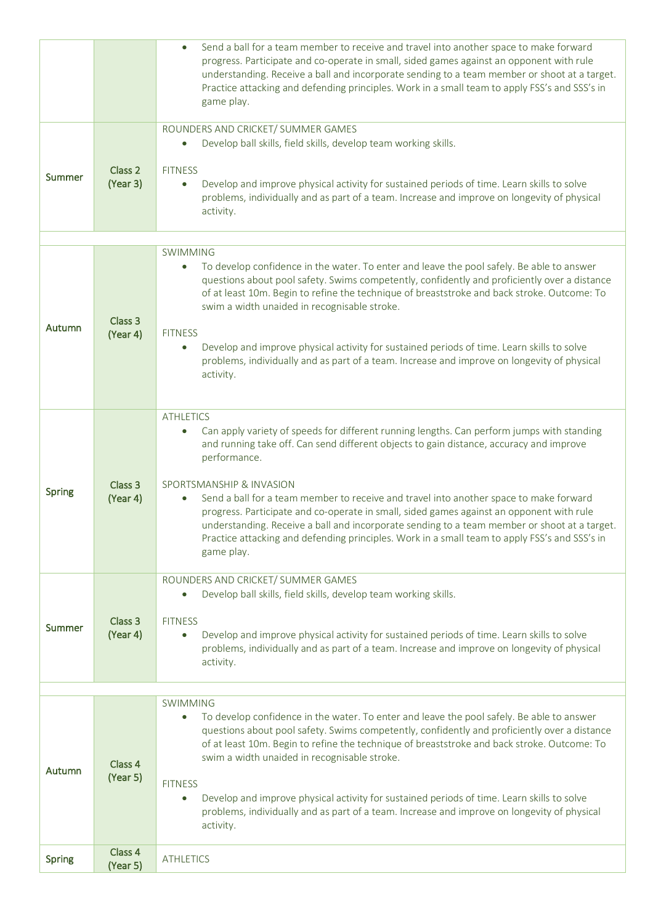|               |                                | Send a ball for a team member to receive and travel into another space to make forward<br>$\bullet$<br>progress. Participate and co-operate in small, sided games against an opponent with rule<br>understanding. Receive a ball and incorporate sending to a team member or shoot at a target.<br>Practice attacking and defending principles. Work in a small team to apply FSS's and SSS's in<br>game play.                                                                                                                                                                                                                                                          |
|---------------|--------------------------------|-------------------------------------------------------------------------------------------------------------------------------------------------------------------------------------------------------------------------------------------------------------------------------------------------------------------------------------------------------------------------------------------------------------------------------------------------------------------------------------------------------------------------------------------------------------------------------------------------------------------------------------------------------------------------|
| Summer        | Class <sub>2</sub><br>(Year 3) | ROUNDERS AND CRICKET/ SUMMER GAMES<br>Develop ball skills, field skills, develop team working skills.<br><b>FITNESS</b><br>Develop and improve physical activity for sustained periods of time. Learn skills to solve<br>$\bullet$<br>problems, individually and as part of a team. Increase and improve on longevity of physical<br>activity.                                                                                                                                                                                                                                                                                                                          |
| Autumn        | Class 3<br>(Year 4)            | <b>SWIMMING</b><br>To develop confidence in the water. To enter and leave the pool safely. Be able to answer<br>questions about pool safety. Swims competently, confidently and proficiently over a distance<br>of at least 10m. Begin to refine the technique of breaststroke and back stroke. Outcome: To<br>swim a width unaided in recognisable stroke.<br><b>FITNESS</b><br>Develop and improve physical activity for sustained periods of time. Learn skills to solve<br>$\bullet$<br>problems, individually and as part of a team. Increase and improve on longevity of physical<br>activity.                                                                    |
| Spring        | Class 3<br>(Year 4)            | <b>ATHLETICS</b><br>Can apply variety of speeds for different running lengths. Can perform jumps with standing<br>$\bullet$<br>and running take off. Can send different objects to gain distance, accuracy and improve<br>performance.<br>SPORTSMANSHIP & INVASION<br>Send a ball for a team member to receive and travel into another space to make forward<br>progress. Participate and co-operate in small, sided games against an opponent with rule<br>understanding. Receive a ball and incorporate sending to a team member or shoot at a target.<br>Practice attacking and defending principles. Work in a small team to apply FSS's and SSS's in<br>game play. |
| Summer        | Class <sub>3</sub><br>(Year 4) | ROUNDERS AND CRICKET/ SUMMER GAMES<br>Develop ball skills, field skills, develop team working skills.<br>$\bullet$<br><b>FITNESS</b><br>Develop and improve physical activity for sustained periods of time. Learn skills to solve<br>$\bullet$<br>problems, individually and as part of a team. Increase and improve on longevity of physical<br>activity.                                                                                                                                                                                                                                                                                                             |
| Autumn        | Class 4<br>(Year 5)            | <b>SWIMMING</b><br>To develop confidence in the water. To enter and leave the pool safely. Be able to answer<br>$\bullet$<br>questions about pool safety. Swims competently, confidently and proficiently over a distance<br>of at least 10m. Begin to refine the technique of breaststroke and back stroke. Outcome: To<br>swim a width unaided in recognisable stroke.<br><b>FITNESS</b><br>Develop and improve physical activity for sustained periods of time. Learn skills to solve<br>$\bullet$<br>problems, individually and as part of a team. Increase and improve on longevity of physical<br>activity.                                                       |
| <b>Spring</b> | Class 4<br>(Year 5)            | <b>ATHLETICS</b>                                                                                                                                                                                                                                                                                                                                                                                                                                                                                                                                                                                                                                                        |